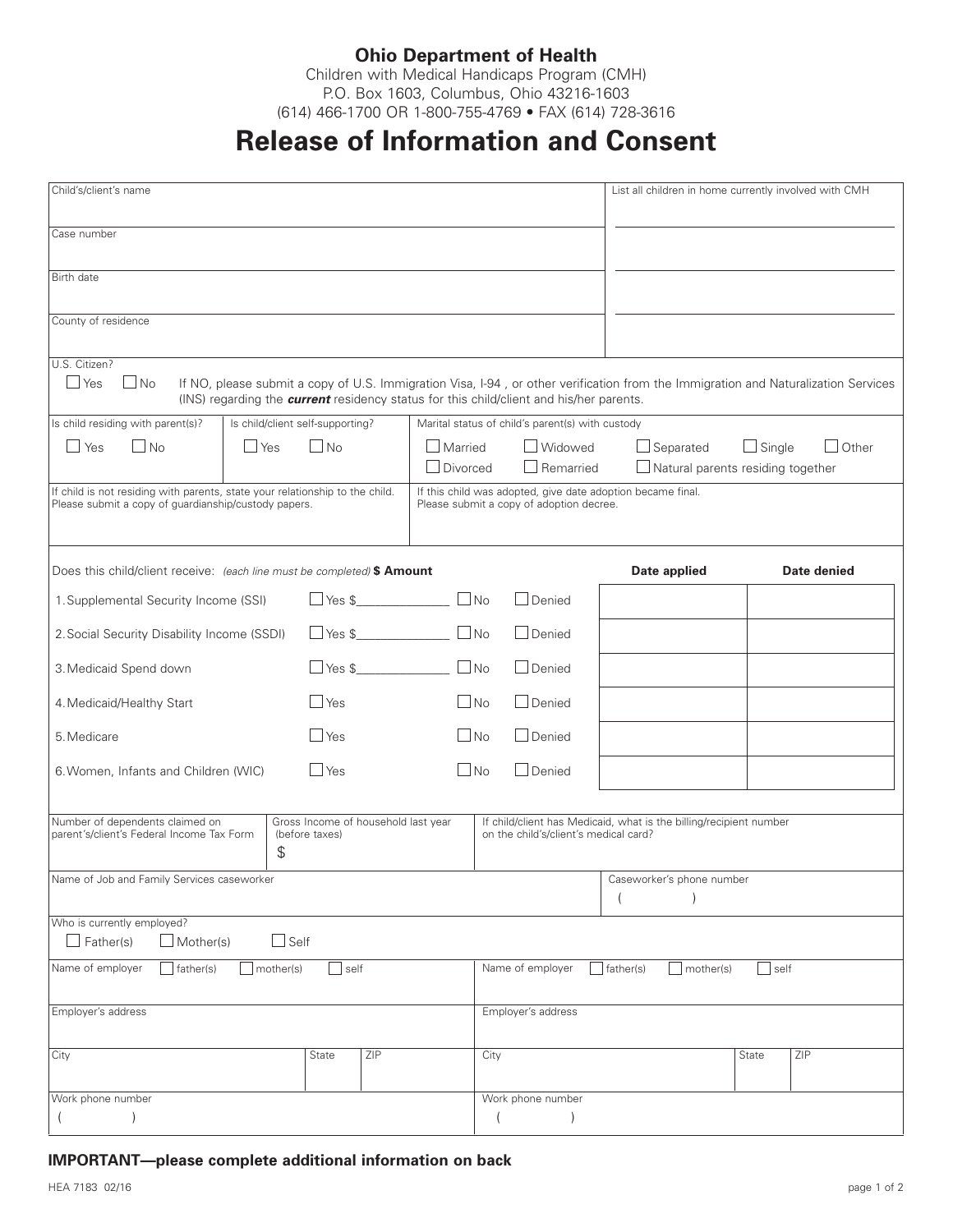## **Ohio Department of Health**

Children with Medical Handicaps Program (CMH) P.O. Box 1603, Columbus, Ohio 43216-1603 (614) 466-1700 OR 1-800-755-4769 • FAX (614) 728-3616

## **Release of Information and Consent**

| Child's/client's name                                                                                                                |                                  |                    |                                     |                                                    |                           |                                                                                                | List all children in home currently involved with CMH                                                                              |  |             |
|--------------------------------------------------------------------------------------------------------------------------------------|----------------------------------|--------------------|-------------------------------------|----------------------------------------------------|---------------------------|------------------------------------------------------------------------------------------------|------------------------------------------------------------------------------------------------------------------------------------|--|-------------|
| Case number                                                                                                                          |                                  |                    |                                     |                                                    |                           |                                                                                                |                                                                                                                                    |  |             |
|                                                                                                                                      |                                  |                    |                                     |                                                    |                           |                                                                                                |                                                                                                                                    |  |             |
| Birth date                                                                                                                           |                                  |                    |                                     |                                                    |                           |                                                                                                |                                                                                                                                    |  |             |
| County of residence                                                                                                                  |                                  |                    |                                     |                                                    |                           |                                                                                                |                                                                                                                                    |  |             |
|                                                                                                                                      |                                  |                    |                                     |                                                    |                           |                                                                                                |                                                                                                                                    |  |             |
| U.S. Citizen?<br>$\Box$ No<br>$\Box$ Yes                                                                                             |                                  |                    |                                     |                                                    |                           | (INS) regarding the <b>current</b> residency status for this child/client and his/her parents. | If NO, please submit a copy of U.S. Immigration Visa, I-94, or other verification from the Immigration and Naturalization Services |  |             |
| Is child residing with parent(s)?                                                                                                    | Is child/client self-supporting? |                    |                                     | Marital status of child's parent(s) with custody   |                           |                                                                                                |                                                                                                                                    |  |             |
| INo<br>l Yes                                                                                                                         | No<br><b>Yes</b>                 |                    |                                     | Widowed<br>Married<br>$\Box$ Remarried<br>Divorced |                           |                                                                                                | $\Box$ Other<br>$\Box$ Separated<br>$\Box$ Single<br>$\Box$ Natural parents residing together                                      |  |             |
| If child is not residing with parents, state your relationship to the child.<br>Please submit a copy of quardianship/custody papers. |                                  |                    |                                     |                                                    |                           | Please submit a copy of adoption decree.                                                       | If this child was adopted, give date adoption became final.                                                                        |  |             |
| Does this child/client receive: (each line must be completed) \$ Amount                                                              |                                  |                    |                                     |                                                    |                           |                                                                                                | Date applied                                                                                                                       |  | Date denied |
| 1. Supplemental Security Income (SSI)                                                                                                |                                  |                    |                                     |                                                    |                           | $\Box$ Denied                                                                                  |                                                                                                                                    |  |             |
| $\boxed{\phantom{a}} \text{Yes } $ \underline{\textbf{\$}}$<br>2. Social Security Disability Income (SSDI)                           |                                  |                    | $\Box$ No                           |                                                    | $\Box$ Denied             |                                                                                                |                                                                                                                                    |  |             |
| 3. Medicaid Spend down                                                                                                               | $\Box$ Yes \$                    |                    |                                     |                                                    | $\Box$ Denied             |                                                                                                |                                                                                                                                    |  |             |
| 4. Medicaid/Healthy Start                                                                                                            |                                  |                    | $\Box$ No<br>$\Box$ Yes             |                                                    |                           | $\Box$ Denied                                                                                  |                                                                                                                                    |  |             |
| 5. Medicare                                                                                                                          |                                  | $\Box$ No<br>  Yes |                                     |                                                    | $\Box$ Denied             |                                                                                                |                                                                                                                                    |  |             |
| $\Box$ Yes<br>6. Women, Infants and Children (WIC)                                                                                   |                                  |                    | $\Box$ No                           |                                                    | $\Box$ Denied             |                                                                                                |                                                                                                                                    |  |             |
| Number of dependents claimed on<br>parent's/client's Federal Income Tax Form                                                         |                                  | (before taxes)     | Gross Income of household last year |                                                    |                           | on the child's/client's medical card?                                                          | If child/client has Medicaid, what is the billing/recipient number                                                                 |  |             |
|                                                                                                                                      | \$                               |                    |                                     |                                                    |                           |                                                                                                |                                                                                                                                    |  |             |
| Name of Job and Family Services caseworker                                                                                           |                                  |                    |                                     |                                                    | Caseworker's phone number |                                                                                                |                                                                                                                                    |  |             |
| Who is currently employed?<br>$\Box$ Mother(s)<br>$\Box$ Father(s)                                                                   | $\Box$ Self                      |                    |                                     |                                                    |                           |                                                                                                |                                                                                                                                    |  |             |
| Name of employer<br>Name of employer<br>$\sqrt{\frac{1}{1}}$ father(s)<br>mother(s)<br>self<br>father(s)<br>self<br>mother(s)        |                                  |                    |                                     |                                                    |                           |                                                                                                |                                                                                                                                    |  |             |
| Employer's address                                                                                                                   |                                  |                    |                                     |                                                    | Employer's address        |                                                                                                |                                                                                                                                    |  |             |
| ZIP<br>City<br>State                                                                                                                 |                                  |                    |                                     | ZIP<br>City<br>State                               |                           |                                                                                                |                                                                                                                                    |  |             |
| Work phone number                                                                                                                    |                                  |                    |                                     |                                                    |                           | Work phone number                                                                              |                                                                                                                                    |  |             |

**IMPORTANT—please complete additional information on back**